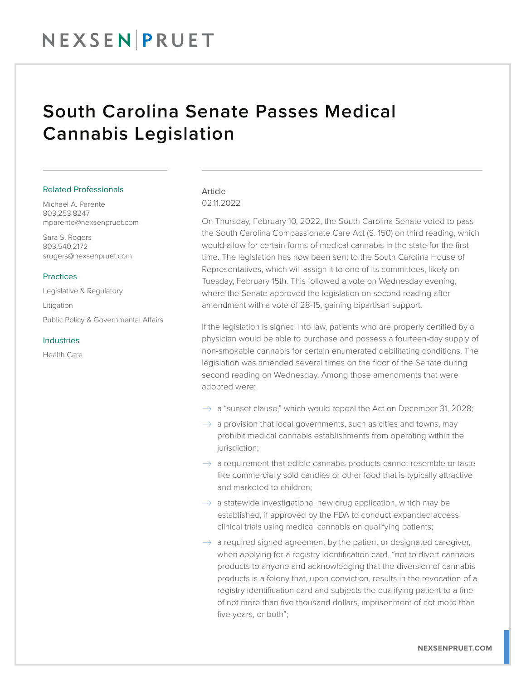## NEXSENPRUET

### South Carolina Senate Passes Medical Cannabis Legislation

#### Related Professionals

Michael A. Parente 803.253.8247 mparente@nexsenpruet.com

Sara S. Rogers 803.540.2172 srogers@nexsenpruet.com

#### **Practices**

Legislative & Regulatory Litigation Public Policy & Governmental Affairs

#### Industries

Health Care

#### Article 02.11.2022

On Thursday, February 10, 2022, the South Carolina Senate voted to pass the South Carolina Compassionate Care Act (S. 150) on third reading, which would allow for certain forms of medical cannabis in the state for the first time. The legislation has now been sent to the South Carolina House of Representatives, which will assign it to one of its committees, likely on Tuesday, February 15th. This followed a vote on Wednesday evening, where the Senate approved the legislation on second reading after amendment with a vote of 28-15, gaining bipartisan support.

If the legislation is signed into law, patients who are properly certified by a physician would be able to purchase and possess a fourteen-day supply of non-smokable cannabis for certain enumerated debilitating conditions. The legislation was amended several times on the floor of the Senate during second reading on Wednesday. Among those amendments that were adopted were:

- $\rightarrow$  a "sunset clause," which would repeal the Act on December 31, 2028;
- $\rightarrow$  a provision that local governments, such as cities and towns, may prohibit medical cannabis establishments from operating within the jurisdiction;
- $\rightarrow$  a requirement that edible cannabis products cannot resemble or taste like commercially sold candies or other food that is typically attractive and marketed to children;
- $\rightarrow$  a statewide investigational new drug application, which may be established, if approved by the FDA to conduct expanded access clinical trials using medical cannabis on qualifying patients;
- $\rightarrow$  a required signed agreement by the patient or designated caregiver, when applying for a registry identification card, "not to divert cannabis products to anyone and acknowledging that the diversion of cannabis products is a felony that, upon conviction, results in the revocation of a registry identification card and subjects the qualifying patient to a fine of not more than five thousand dollars, imprisonment of not more than five years, or both";